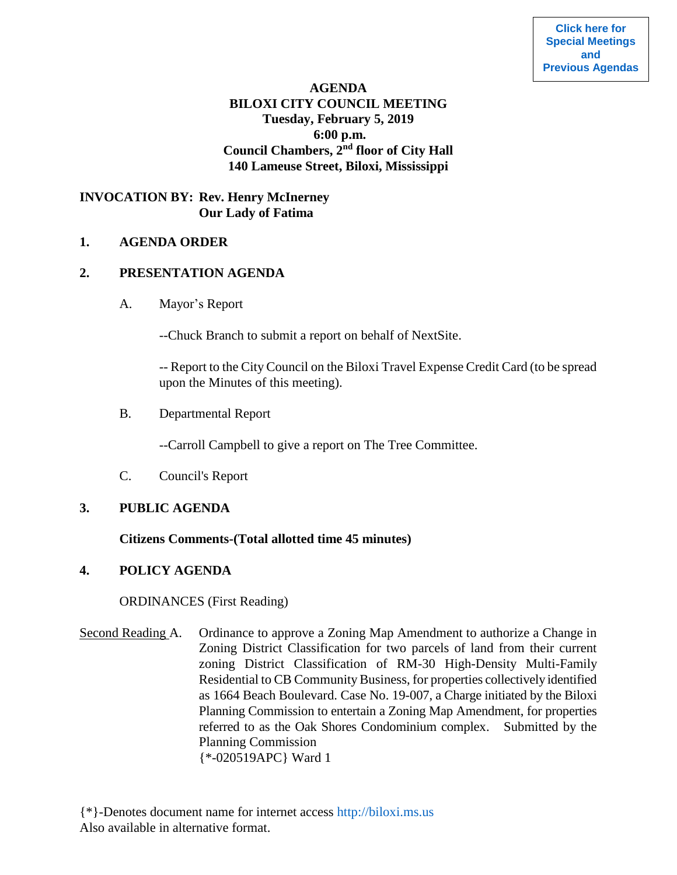# **AGENDA BILOXI CITY COUNCIL MEETING Tuesday, February 5, 2019 6:00 p.m. Council Chambers, 2nd floor of City Hall 140 Lameuse Street, Biloxi, Mississippi**

# **INVOCATION BY: Rev. Henry McInerney Our Lady of Fatima**

#### **1. AGENDA ORDER**

#### **2. PRESENTATION AGENDA**

A. Mayor's Report

--Chuck Branch to submit a report on behalf of NextSite.

-- Report to the City Council on the Biloxi Travel Expense Credit Card (to be spread upon the Minutes of this meeting).

B. Departmental Report

--Carroll Campbell to give a report on The Tree Committee.

C. Council's Report

# **3. PUBLIC AGENDA**

#### **Citizens Comments-(Total allotted time 45 minutes)**

# **4. POLICY AGENDA**

ORDINANCES (First Reading)

Second Reading A. Ordinance to approve a Zoning Map Amendment to authorize a Change in Zoning District Classification for two parcels of land from their current zoning District Classification of RM-30 High-Density Multi-Family Residential to CB Community Business, for properties collectively identified as 1664 Beach Boulevard. Case No. 19-007, a Charge initiated by the Biloxi Planning Commission to entertain a Zoning Map Amendment, for properties referred to as the Oak Shores Condominium complex. Submitted by the Planning Commission {\*-020519APC} Ward 1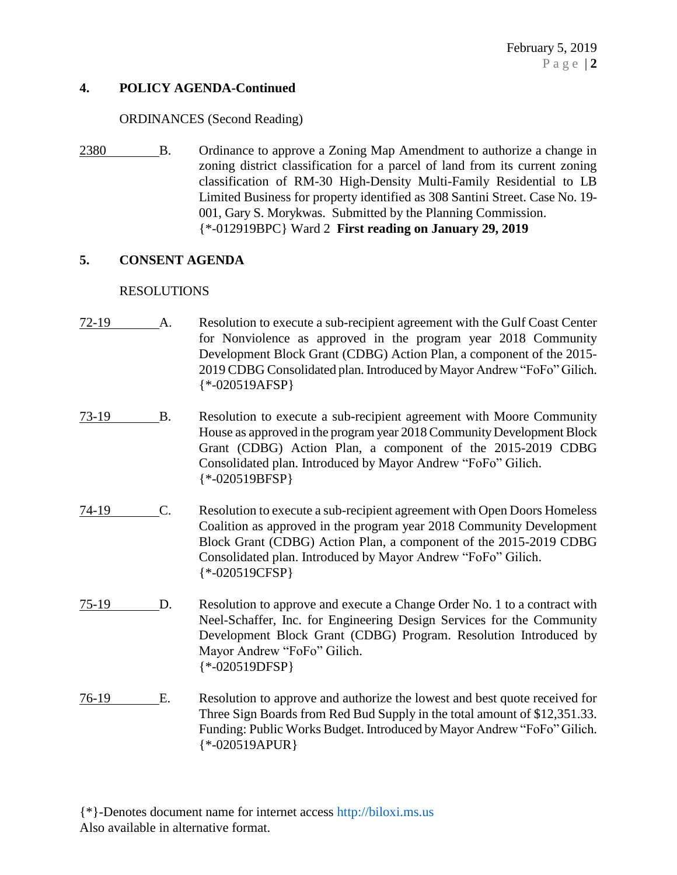### **4. POLICY AGENDA-Continued**

### ORDINANCES (Second Reading)

2380 B. Ordinance to approve a Zoning Map Amendment to authorize a change in zoning district classification for a parcel of land from its current zoning classification of RM-30 High-Density Multi-Family Residential to LB Limited Business for property identified as 308 Santini Street. Case No. 19- 001, Gary S. Morykwas. Submitted by the Planning Commission. {\*-012919BPC} Ward 2 **First reading on January 29, 2019**

### **5. CONSENT AGENDA**

### RESOLUTIONS

- 72-19 A. Resolution to execute a sub-recipient agreement with the Gulf Coast Center for Nonviolence as approved in the program year 2018 Community Development Block Grant (CDBG) Action Plan, a component of the 2015- 2019 CDBG Consolidated plan. Introduced by Mayor Andrew "FoFo" Gilich. {\*-020519AFSP}
- 73-19 B. Resolution to execute a sub-recipient agreement with Moore Community House as approved in the program year 2018 Community Development Block Grant (CDBG) Action Plan, a component of the 2015-2019 CDBG Consolidated plan. Introduced by Mayor Andrew "FoFo" Gilich. {\*-020519BFSP}
- 74-19 C. Resolution to execute a sub-recipient agreement with Open Doors Homeless Coalition as approved in the program year 2018 Community Development Block Grant (CDBG) Action Plan, a component of the 2015-2019 CDBG Consolidated plan. Introduced by Mayor Andrew "FoFo" Gilich. {\*-020519CFSP}
- 75-19 D. Resolution to approve and execute a Change Order No. 1 to a contract with Neel-Schaffer, Inc. for Engineering Design Services for the Community Development Block Grant (CDBG) Program. Resolution Introduced by Mayor Andrew "FoFo" Gilich. {\*-020519DFSP}
- 76-19 E. Resolution to approve and authorize the lowest and best quote received for Three Sign Boards from Red Bud Supply in the total amount of \$12,351.33. Funding: Public Works Budget. Introduced by Mayor Andrew "FoFo" Gilich. {\*-020519APUR}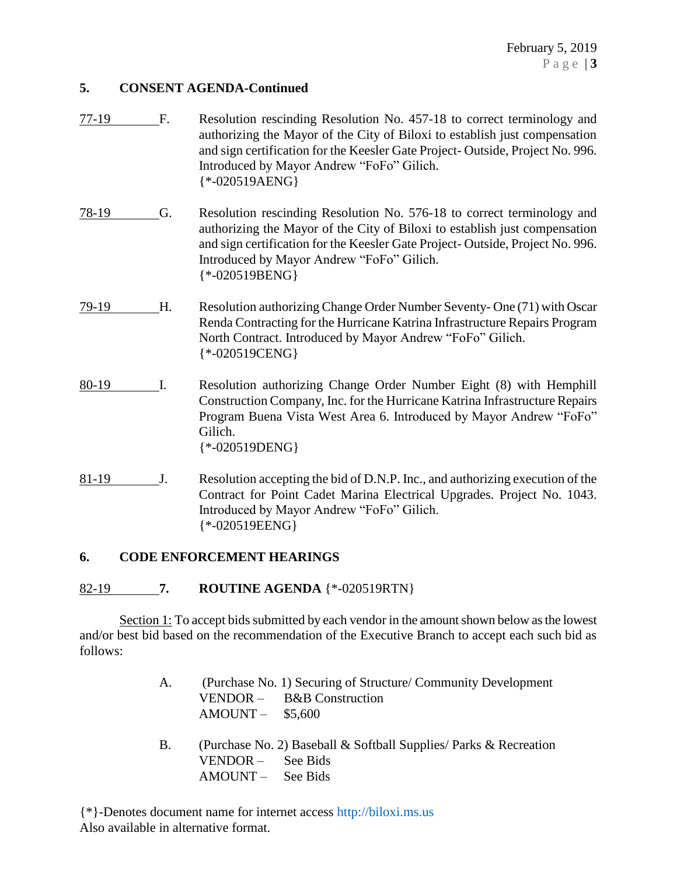## **5. CONSENT AGENDA-Continued**

- 77-19 F. Resolution rescinding Resolution No. 457-18 to correct terminology and authorizing the Mayor of the City of Biloxi to establish just compensation and sign certification for the Keesler Gate Project- Outside, Project No. 996. Introduced by Mayor Andrew "FoFo" Gilich. {\*-020519AENG}
- 78-19 G. Resolution rescinding Resolution No. 576-18 to correct terminology and authorizing the Mayor of the City of Biloxi to establish just compensation and sign certification for the Keesler Gate Project- Outside, Project No. 996. Introduced by Mayor Andrew "FoFo" Gilich. {\*-020519BENG}
- 79-19 H. Resolution authorizing Change Order Number Seventy- One (71) with Oscar Renda Contracting for the Hurricane Katrina Infrastructure Repairs Program North Contract. Introduced by Mayor Andrew "FoFo" Gilich. {\*-020519CENG}
- 80-19 I. Resolution authorizing Change Order Number Eight (8) with Hemphill Construction Company, Inc. for the Hurricane Katrina Infrastructure Repairs Program Buena Vista West Area 6. Introduced by Mayor Andrew "FoFo" Gilich. {\*-020519DENG}
- 81-19 J. Resolution accepting the bid of D.N.P. Inc., and authorizing execution of the Contract for Point Cadet Marina Electrical Upgrades. Project No. 1043. Introduced by Mayor Andrew "FoFo" Gilich. {\*-020519EENG}

# **6. CODE ENFORCEMENT HEARINGS**

#### 82-19 **7. ROUTINE AGENDA** {\*-020519RTN}

Section 1: To accept bids submitted by each vendor in the amount shown below as the lowest and/or best bid based on the recommendation of the Executive Branch to accept each such bid as follows:

- A. (Purchase No. 1) Securing of Structure/ Community Development VENDOR – B&B Construction AMOUNT – \$5,600
- B. (Purchase No. 2) Baseball & Softball Supplies/ Parks & Recreation VENDOR – See Bids AMOUNT – See Bids

{\*}-Denotes document name for internet access [http://biloxi.ms.us](http://biloxi.ms.us/) Also available in alternative format.